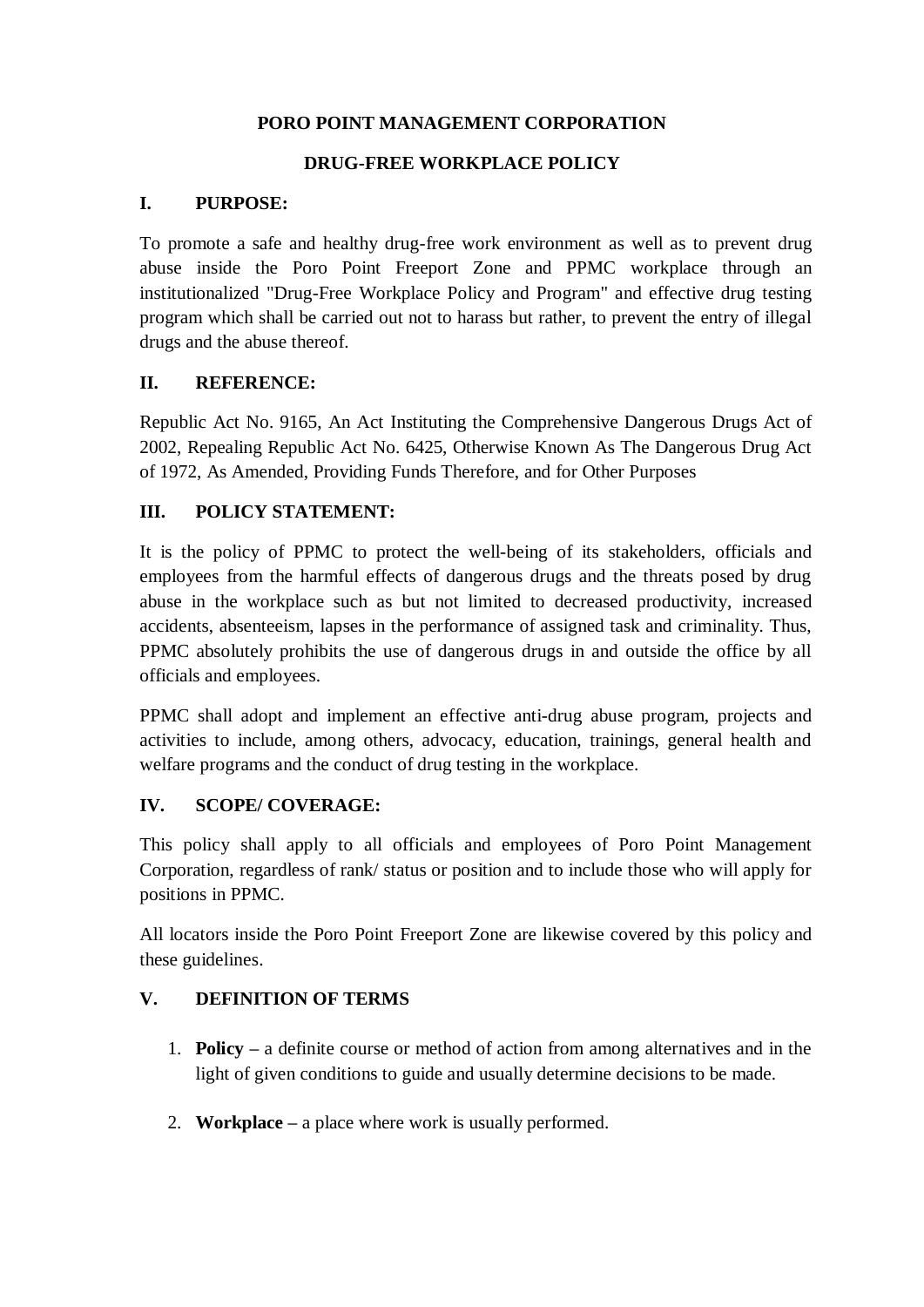### **PORO POINT MANAGEMENT CORPORATION**

## **DRUG-FREE WORKPLACE POLICY**

### **I. PURPOSE:**

To promote a safe and healthy drug-free work environment as well as to prevent drug abuse inside the Poro Point Freeport Zone and PPMC workplace through an institutionalized "Drug-Free Workplace Policy and Program" and effective drug testing program which shall be carried out not to harass but rather, to prevent the entry of illegal drugs and the abuse thereof.

## **II. REFERENCE:**

Republic Act No. 9165, An Act Instituting the Comprehensive Dangerous Drugs Act of 2002, Repealing Republic Act No. 6425, Otherwise Known As The Dangerous Drug Act of 1972, As Amended, Providing Funds Therefore, and for Other Purposes

## **III. POLICY STATEMENT:**

It is the policy of PPMC to protect the well-being of its stakeholders, officials and employees from the harmful effects of dangerous drugs and the threats posed by drug abuse in the workplace such as but not limited to decreased productivity, increased accidents, absenteeism, lapses in the performance of assigned task and criminality. Thus, PPMC absolutely prohibits the use of dangerous drugs in and outside the office by all officials and employees.

PPMC shall adopt and implement an effective anti-drug abuse program, projects and activities to include, among others, advocacy, education, trainings, general health and welfare programs and the conduct of drug testing in the workplace.

# **IV. SCOPE/ COVERAGE:**

This policy shall apply to all officials and employees of Poro Point Management Corporation, regardless of rank/ status or position and to include those who will apply for positions in PPMC.

All locators inside the Poro Point Freeport Zone are likewise covered by this policy and these guidelines.

# **V. DEFINITION OF TERMS**

- 1. **Policy –** a definite course or method of action from among alternatives and in the light of given conditions to guide and usually determine decisions to be made.
- 2. **Workplace –** a place where work is usually performed.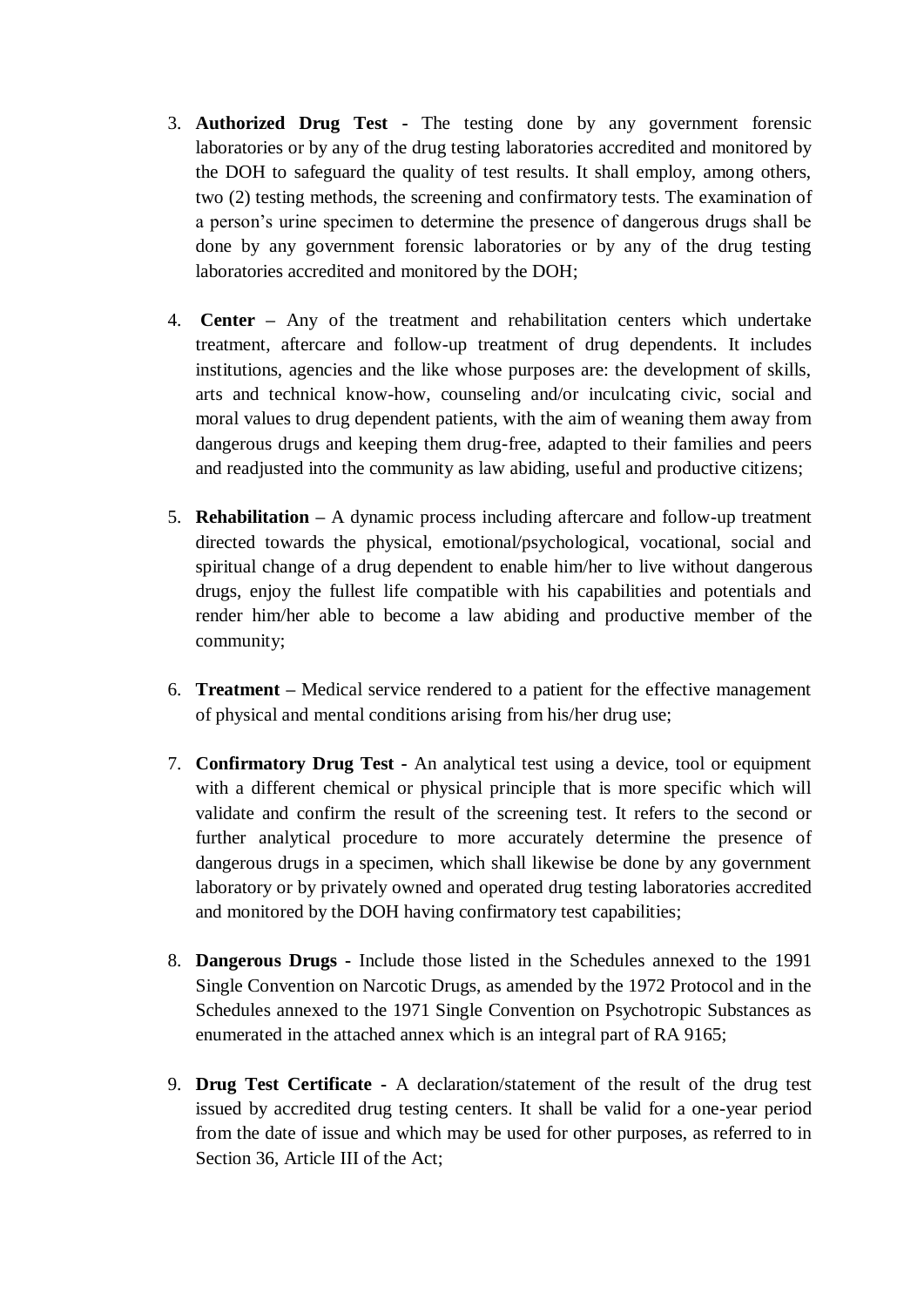- 3. **Authorized Drug Test -** The testing done by any government forensic laboratories or by any of the drug testing laboratories accredited and monitored by the DOH to safeguard the quality of test results. It shall employ, among others, two (2) testing methods, the screening and confirmatory tests. The examination of a person's urine specimen to determine the presence of dangerous drugs shall be done by any government forensic laboratories or by any of the drug testing laboratories accredited and monitored by the DOH;
- 4. **Center –** Any of the treatment and rehabilitation centers which undertake treatment, aftercare and follow-up treatment of drug dependents. It includes institutions, agencies and the like whose purposes are: the development of skills, arts and technical know-how, counseling and/or inculcating civic, social and moral values to drug dependent patients, with the aim of weaning them away from dangerous drugs and keeping them drug-free, adapted to their families and peers and readjusted into the community as law abiding, useful and productive citizens;
- 5. **Rehabilitation –** A dynamic process including aftercare and follow-up treatment directed towards the physical, emotional/psychological, vocational, social and spiritual change of a drug dependent to enable him/her to live without dangerous drugs, enjoy the fullest life compatible with his capabilities and potentials and render him/her able to become a law abiding and productive member of the community;
- 6. **Treatment –** Medical service rendered to a patient for the effective management of physical and mental conditions arising from his/her drug use;
- 7. **Confirmatory Drug Test -** An analytical test using a device, tool or equipment with a different chemical or physical principle that is more specific which will validate and confirm the result of the screening test. It refers to the second or further analytical procedure to more accurately determine the presence of dangerous drugs in a specimen, which shall likewise be done by any government laboratory or by privately owned and operated drug testing laboratories accredited and monitored by the DOH having confirmatory test capabilities;
- 8. **Dangerous Drugs -** Include those listed in the Schedules annexed to the 1991 Single Convention on Narcotic Drugs, as amended by the 1972 Protocol and in the Schedules annexed to the 1971 Single Convention on Psychotropic Substances as enumerated in the attached annex which is an integral part of RA 9165;
- 9. **Drug Test Certificate -** A declaration/statement of the result of the drug test issued by accredited drug testing centers. It shall be valid for a one-year period from the date of issue and which may be used for other purposes, as referred to in Section 36, Article III of the Act;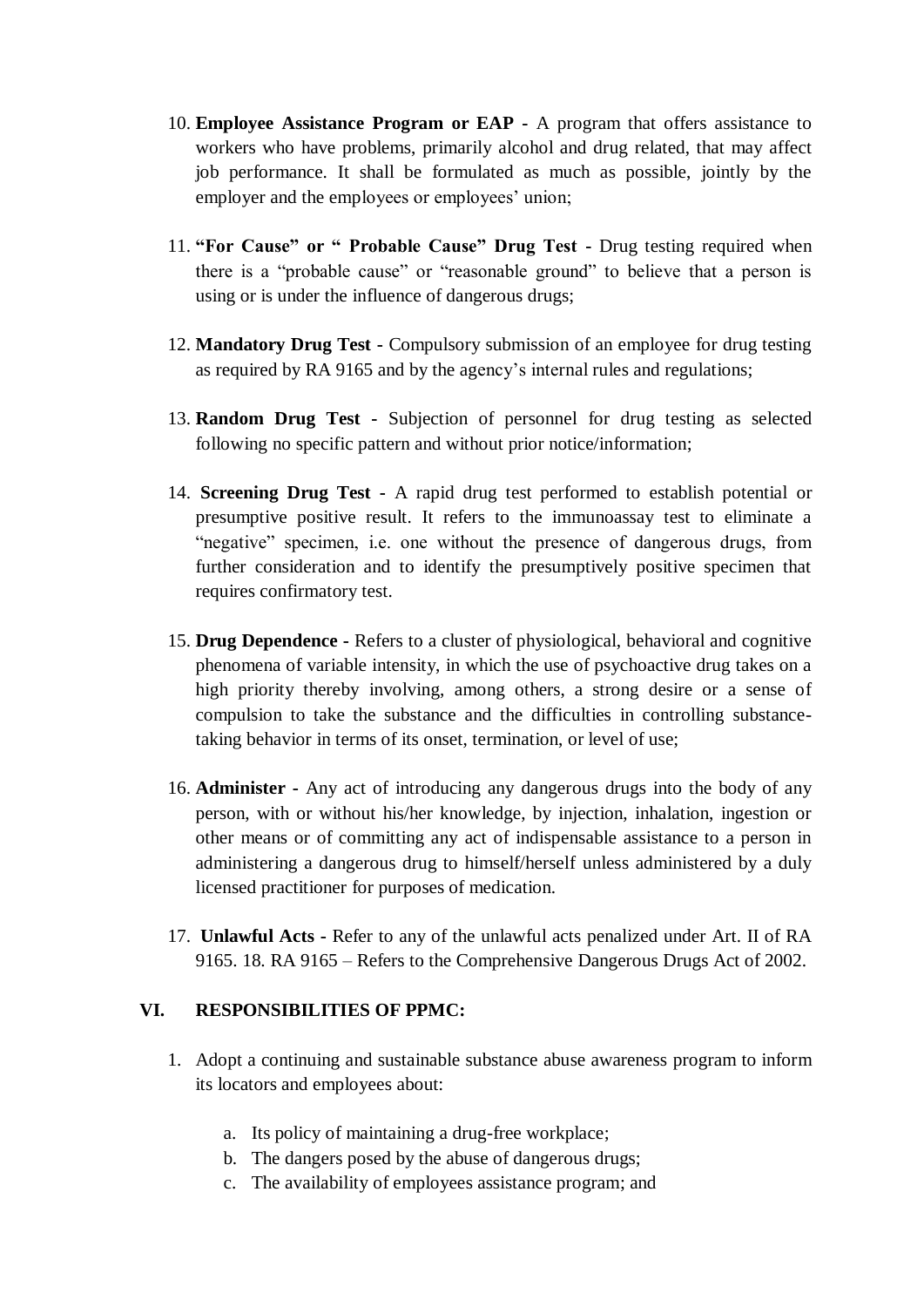- 10. **Employee Assistance Program or EAP -** A program that offers assistance to workers who have problems, primarily alcohol and drug related, that may affect job performance. It shall be formulated as much as possible, jointly by the employer and the employees or employees' union;
- 11. **"For Cause" or " Probable Cause" Drug Test -** Drug testing required when there is a "probable cause" or "reasonable ground" to believe that a person is using or is under the influence of dangerous drugs;
- 12. **Mandatory Drug Test -** Compulsory submission of an employee for drug testing as required by RA 9165 and by the agency's internal rules and regulations;
- 13. **Random Drug Test -** Subjection of personnel for drug testing as selected following no specific pattern and without prior notice/information;
- 14. **Screening Drug Test -** A rapid drug test performed to establish potential or presumptive positive result. It refers to the immunoassay test to eliminate a "negative" specimen, i.e. one without the presence of dangerous drugs, from further consideration and to identify the presumptively positive specimen that requires confirmatory test.
- 15. **Drug Dependence -** Refers to a cluster of physiological, behavioral and cognitive phenomena of variable intensity, in which the use of psychoactive drug takes on a high priority thereby involving, among others, a strong desire or a sense of compulsion to take the substance and the difficulties in controlling substancetaking behavior in terms of its onset, termination, or level of use;
- 16. **Administer -** Any act of introducing any dangerous drugs into the body of any person, with or without his/her knowledge, by injection, inhalation, ingestion or other means or of committing any act of indispensable assistance to a person in administering a dangerous drug to himself/herself unless administered by a duly licensed practitioner for purposes of medication.
- 17. **Unlawful Acts -** Refer to any of the unlawful acts penalized under Art. II of RA 9165. 18. RA 9165 – Refers to the Comprehensive Dangerous Drugs Act of 2002.

### **VI. RESPONSIBILITIES OF PPMC:**

- 1. Adopt a continuing and sustainable substance abuse awareness program to inform its locators and employees about:
	- a. Its policy of maintaining a drug-free workplace;
	- b. The dangers posed by the abuse of dangerous drugs;
	- c. The availability of employees assistance program; and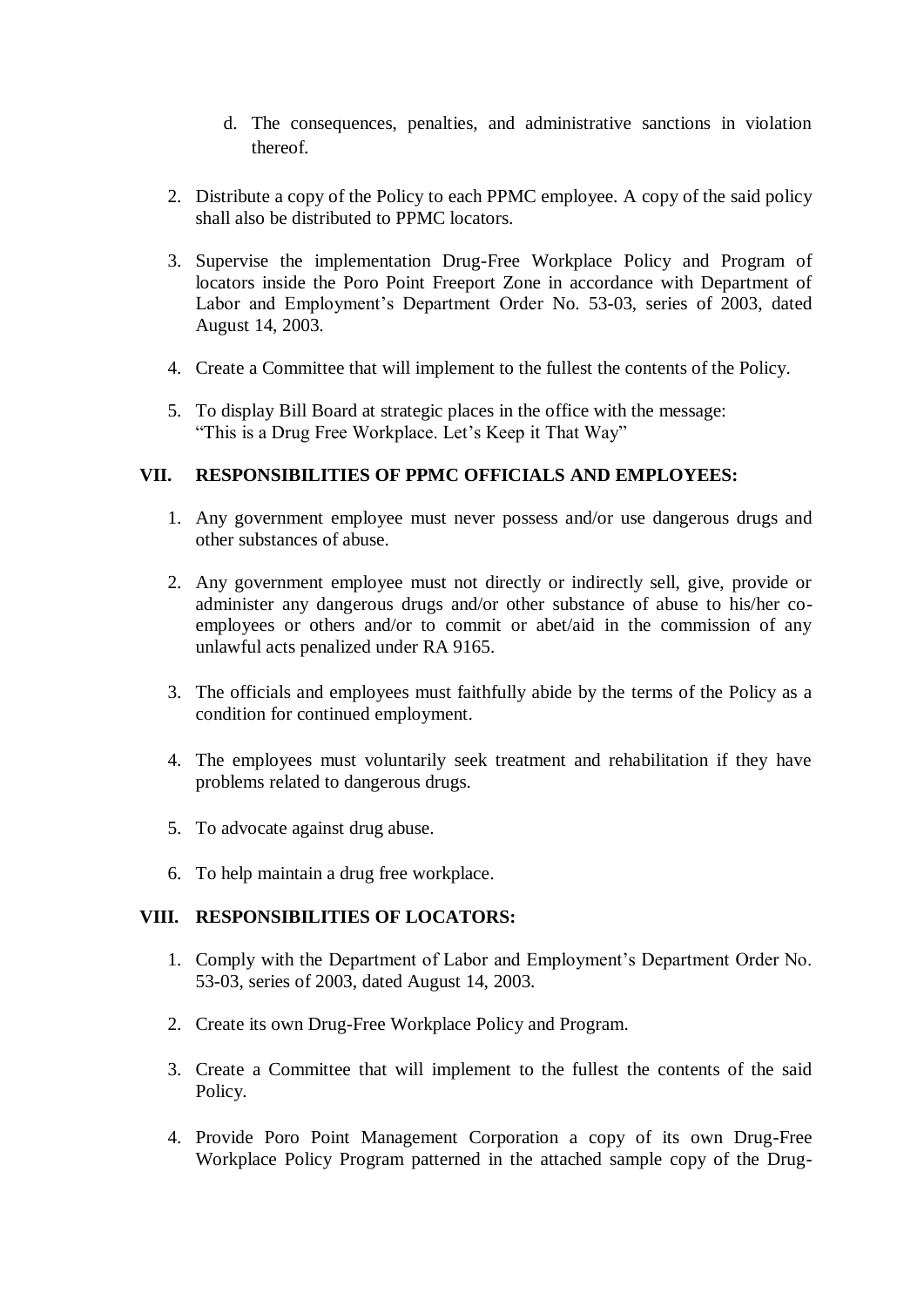- d. The consequences, penalties, and administrative sanctions in violation thereof.
- 2. Distribute a copy of the Policy to each PPMC employee. A copy of the said policy shall also be distributed to PPMC locators.
- 3. Supervise the implementation Drug-Free Workplace Policy and Program of locators inside the Poro Point Freeport Zone in accordance with Department of Labor and Employment's Department Order No. 53-03, series of 2003, dated August 14, 2003.
- 4. Create a Committee that will implement to the fullest the contents of the Policy.
- 5. To display Bill Board at strategic places in the office with the message: "This is a Drug Free Workplace. Let's Keep it That Way"

#### **VII. RESPONSIBILITIES OF PPMC OFFICIALS AND EMPLOYEES:**

- 1. Any government employee must never possess and/or use dangerous drugs and other substances of abuse.
- 2. Any government employee must not directly or indirectly sell, give, provide or administer any dangerous drugs and/or other substance of abuse to his/her coemployees or others and/or to commit or abet/aid in the commission of any unlawful acts penalized under RA 9165.
- 3. The officials and employees must faithfully abide by the terms of the Policy as a condition for continued employment.
- 4. The employees must voluntarily seek treatment and rehabilitation if they have problems related to dangerous drugs.
- 5. To advocate against drug abuse.
- 6. To help maintain a drug free workplace.

### **VIII. RESPONSIBILITIES OF LOCATORS:**

- 1. Comply with the Department of Labor and Employment's Department Order No. 53-03, series of 2003, dated August 14, 2003.
- 2. Create its own Drug-Free Workplace Policy and Program.
- 3. Create a Committee that will implement to the fullest the contents of the said Policy.
- 4. Provide Poro Point Management Corporation a copy of its own Drug-Free Workplace Policy Program patterned in the attached sample copy of the Drug-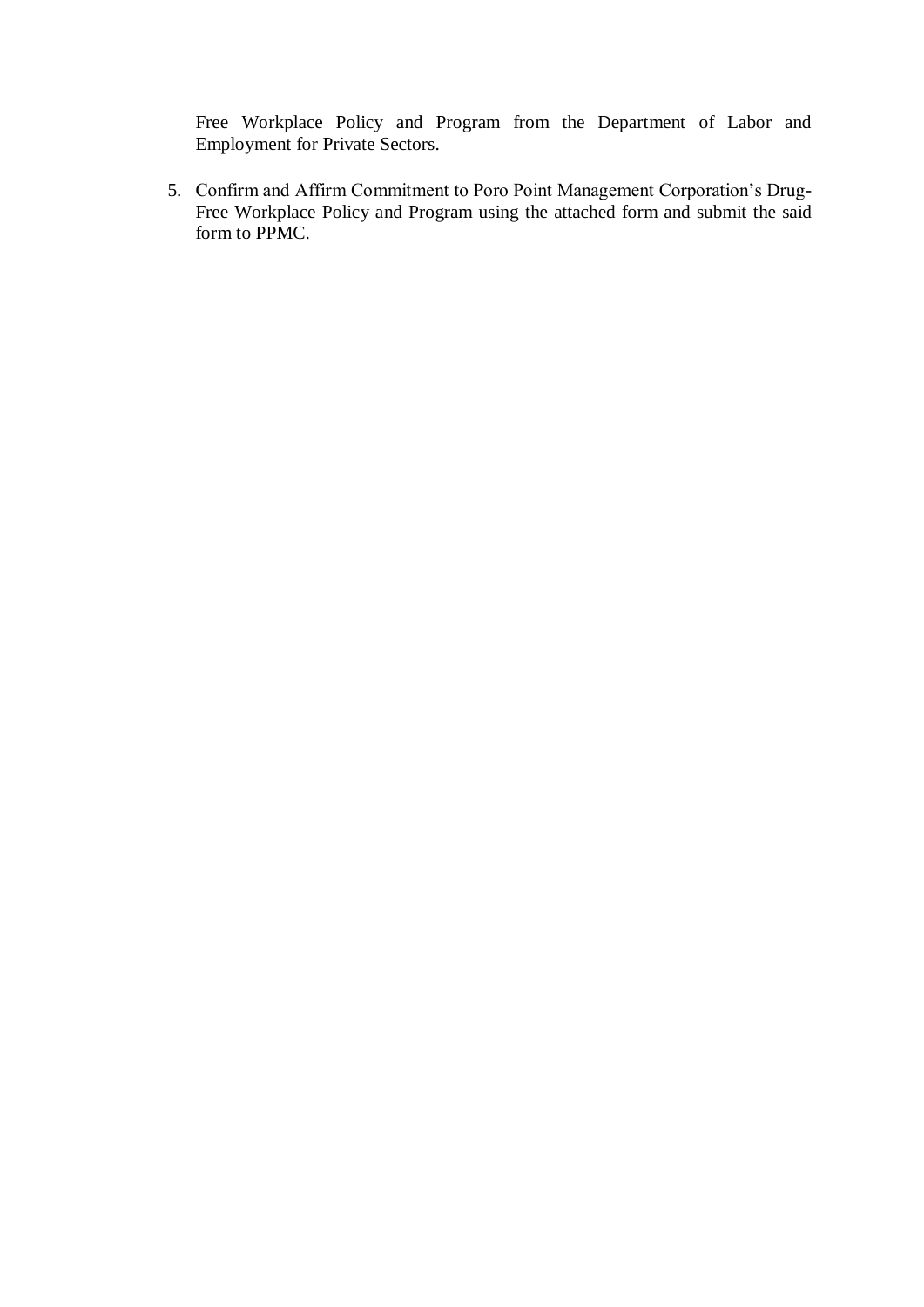Free Workplace Policy and Program from the Department of Labor and Employment for Private Sectors.

5. Confirm and Affirm Commitment to Poro Point Management Corporation's Drug-Free Workplace Policy and Program using the attached form and submit the said form to PPMC.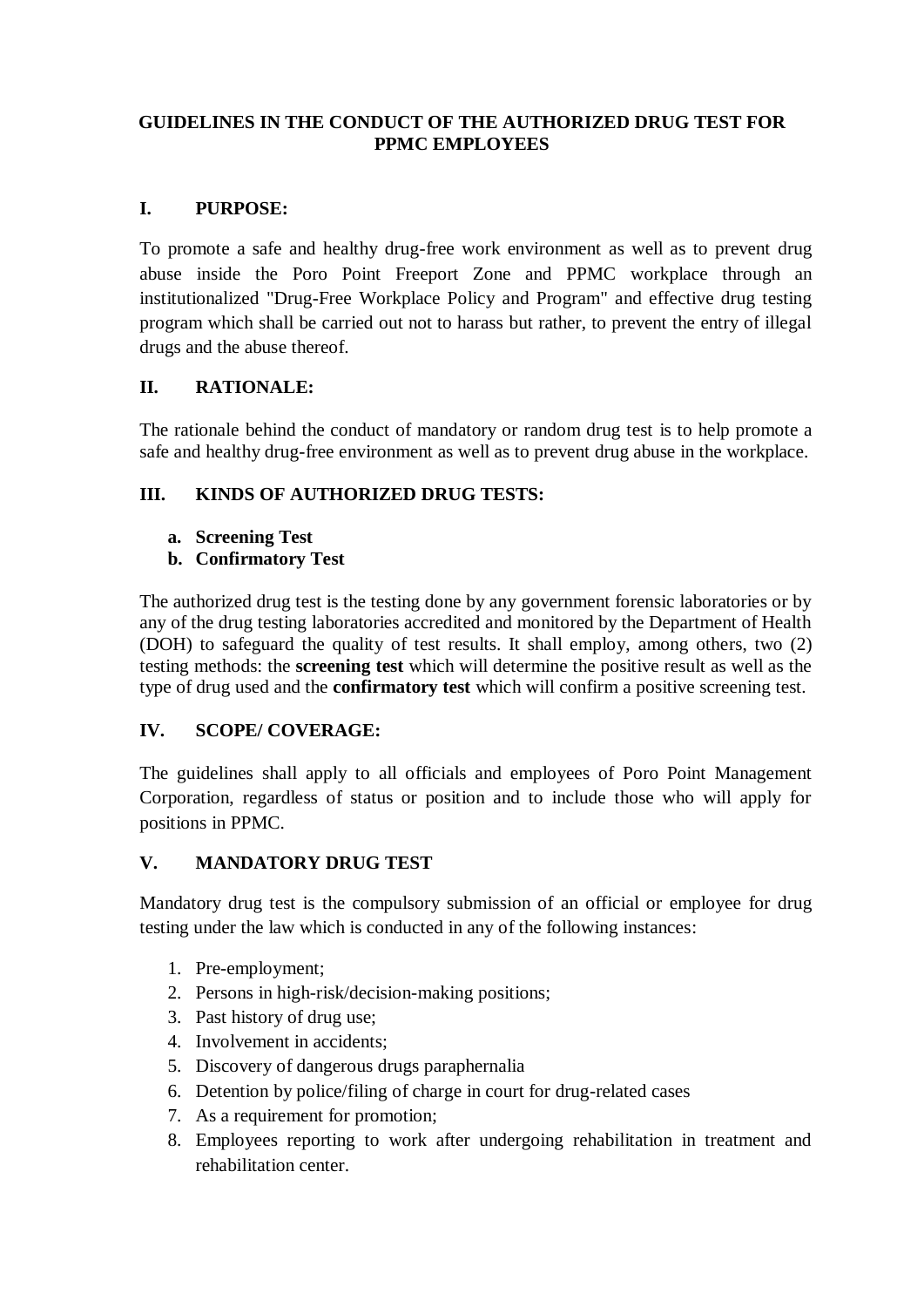### **GUIDELINES IN THE CONDUCT OF THE AUTHORIZED DRUG TEST FOR PPMC EMPLOYEES**

## **I. PURPOSE:**

To promote a safe and healthy drug-free work environment as well as to prevent drug abuse inside the Poro Point Freeport Zone and PPMC workplace through an institutionalized "Drug-Free Workplace Policy and Program" and effective drug testing program which shall be carried out not to harass but rather, to prevent the entry of illegal drugs and the abuse thereof.

## **II. RATIONALE:**

The rationale behind the conduct of mandatory or random drug test is to help promote a safe and healthy drug-free environment as well as to prevent drug abuse in the workplace.

# **III. KINDS OF AUTHORIZED DRUG TESTS:**

- **a. Screening Test**
- **b. Confirmatory Test**

The authorized drug test is the testing done by any government forensic laboratories or by any of the drug testing laboratories accredited and monitored by the Department of Health (DOH) to safeguard the quality of test results. It shall employ, among others, two (2) testing methods: the **screening test** which will determine the positive result as well as the type of drug used and the **confirmatory test** which will confirm a positive screening test.

# **IV. SCOPE/ COVERAGE:**

The guidelines shall apply to all officials and employees of Poro Point Management Corporation, regardless of status or position and to include those who will apply for positions in PPMC.

# **V. MANDATORY DRUG TEST**

Mandatory drug test is the compulsory submission of an official or employee for drug testing under the law which is conducted in any of the following instances:

- 1. Pre-employment;
- 2. Persons in high-risk/decision-making positions;
- 3. Past history of drug use;
- 4. Involvement in accidents;
- 5. Discovery of dangerous drugs paraphernalia
- 6. Detention by police/filing of charge in court for drug-related cases
- 7. As a requirement for promotion;
- 8. Employees reporting to work after undergoing rehabilitation in treatment and rehabilitation center.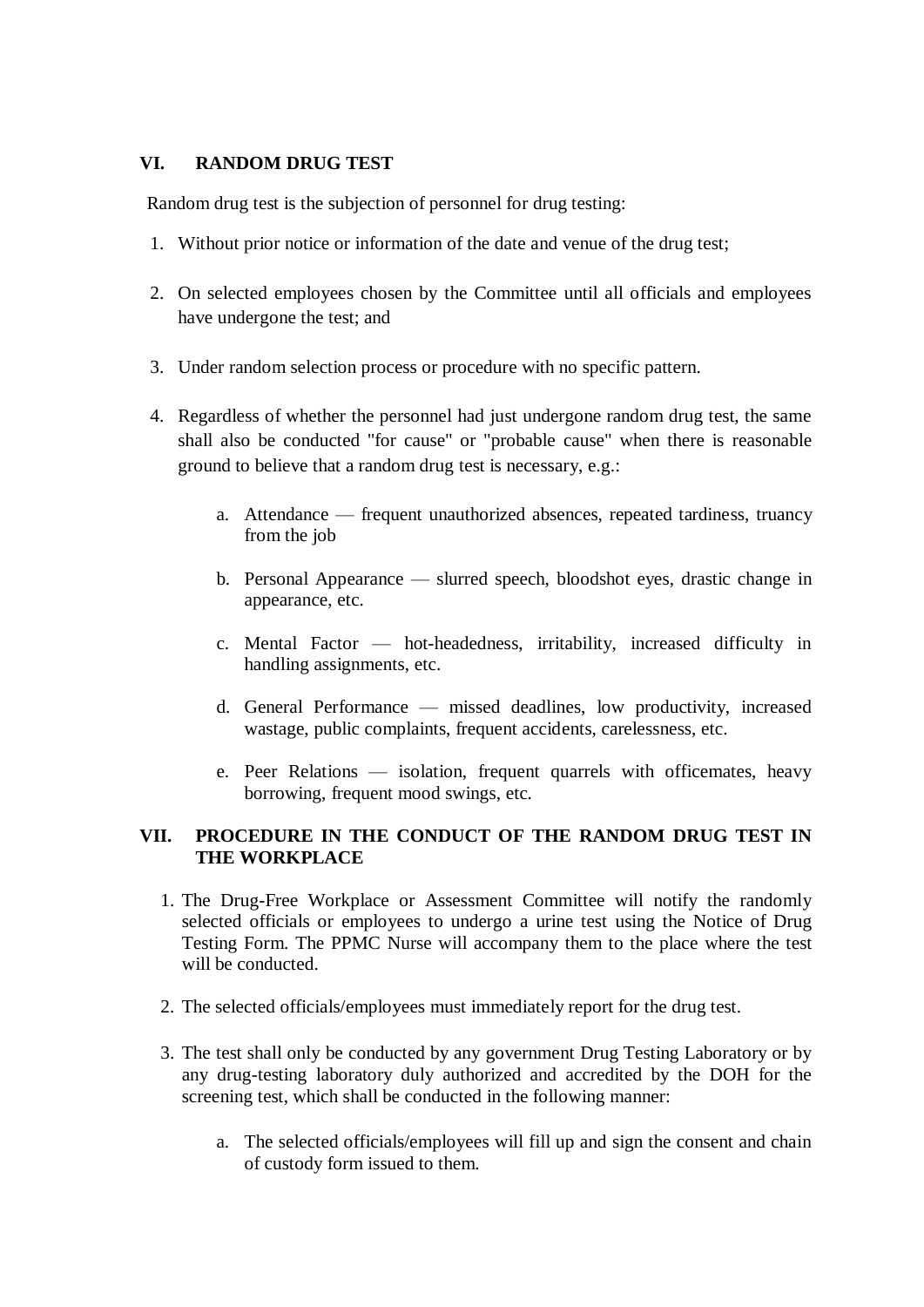### **VI. RANDOM DRUG TEST**

Random drug test is the subjection of personnel for drug testing:

- 1. Without prior notice or information of the date and venue of the drug test;
- 2. On selected employees chosen by the Committee until all officials and employees have undergone the test; and
- 3. Under random selection process or procedure with no specific pattern.
- 4. Regardless of whether the personnel had just undergone random drug test, the same shall also be conducted "for cause" or "probable cause" when there is reasonable ground to believe that a random drug test is necessary, e.g.:
	- a. Attendance frequent unauthorized absences, repeated tardiness, truancy from the job
	- b. Personal Appearance slurred speech, bloodshot eyes, drastic change in appearance, etc.
	- c. Mental Factor hot-headedness, irritability, increased difficulty in handling assignments, etc.
	- d. General Performance missed deadlines, low productivity, increased wastage, public complaints, frequent accidents, carelessness, etc.
	- e. Peer Relations isolation, frequent quarrels with officemates, heavy borrowing, frequent mood swings, etc.

### **VII. PROCEDURE IN THE CONDUCT OF THE RANDOM DRUG TEST IN THE WORKPLACE**

- 1. The Drug-Free Workplace or Assessment Committee will notify the randomly selected officials or employees to undergo a urine test using the Notice of Drug Testing Form. The PPMC Nurse will accompany them to the place where the test will be conducted.
- 2. The selected officials/employees must immediately report for the drug test.
- 3. The test shall only be conducted by any government Drug Testing Laboratory or by any drug-testing laboratory duly authorized and accredited by the DOH for the screening test, which shall be conducted in the following manner:
	- a. The selected officials/employees will fill up and sign the consent and chain of custody form issued to them.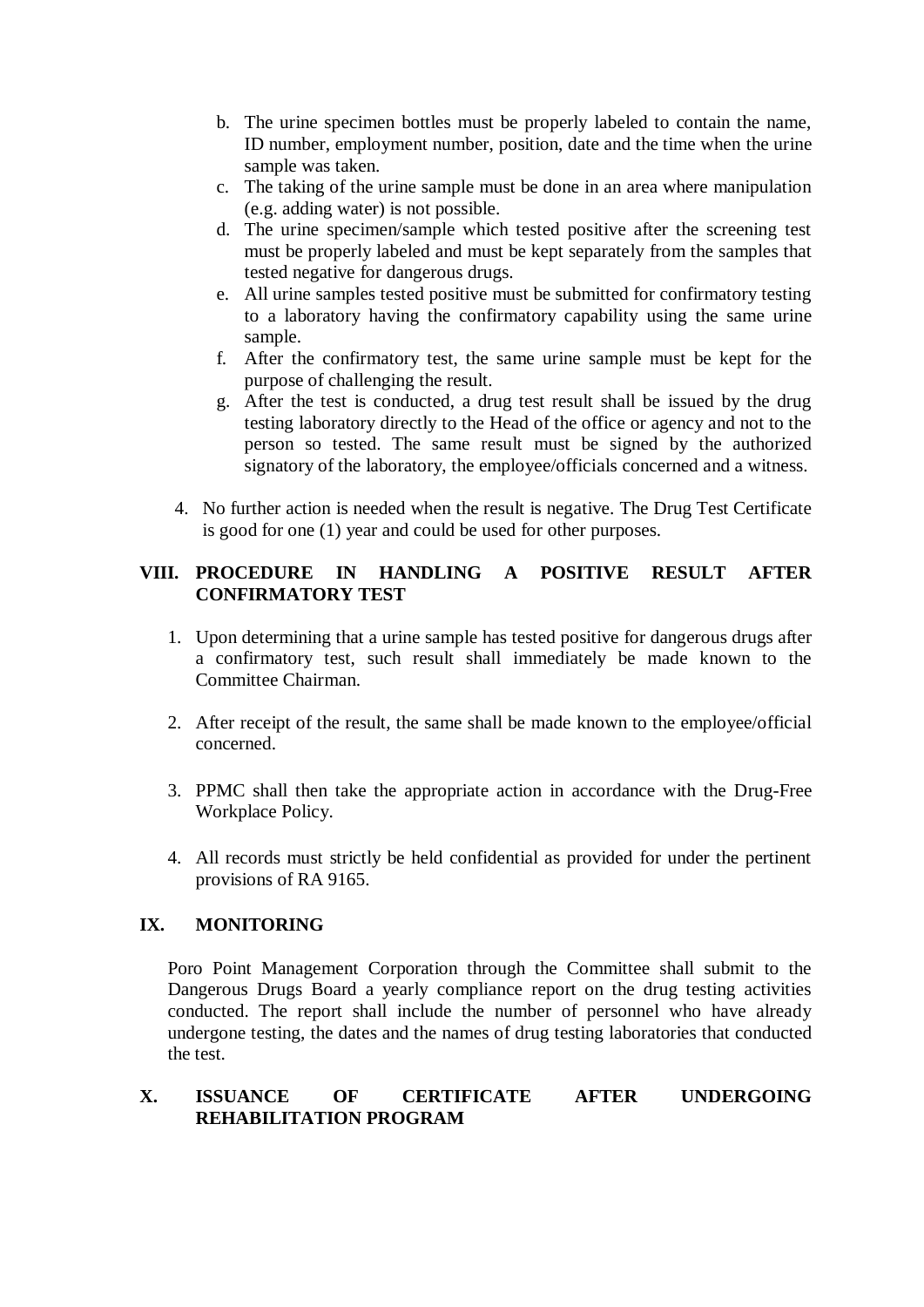- b. The urine specimen bottles must be properly labeled to contain the name, ID number, employment number, position, date and the time when the urine sample was taken.
- c. The taking of the urine sample must be done in an area where manipulation (e.g. adding water) is not possible.
- d. The urine specimen/sample which tested positive after the screening test must be properly labeled and must be kept separately from the samples that tested negative for dangerous drugs.
- e. All urine samples tested positive must be submitted for confirmatory testing to a laboratory having the confirmatory capability using the same urine sample.
- f. After the confirmatory test, the same urine sample must be kept for the purpose of challenging the result.
- g. After the test is conducted, a drug test result shall be issued by the drug testing laboratory directly to the Head of the office or agency and not to the person so tested. The same result must be signed by the authorized signatory of the laboratory, the employee/officials concerned and a witness.
- 4. No further action is needed when the result is negative. The Drug Test Certificate is good for one (1) year and could be used for other purposes.

### **VIII. PROCEDURE IN HANDLING A POSITIVE RESULT AFTER CONFIRMATORY TEST**

- 1. Upon determining that a urine sample has tested positive for dangerous drugs after a confirmatory test, such result shall immediately be made known to the Committee Chairman.
- 2. After receipt of the result, the same shall be made known to the employee/official concerned.
- 3. PPMC shall then take the appropriate action in accordance with the Drug-Free Workplace Policy.
- 4. All records must strictly be held confidential as provided for under the pertinent provisions of RA 9165.

### **IX. MONITORING**

Poro Point Management Corporation through the Committee shall submit to the Dangerous Drugs Board a yearly compliance report on the drug testing activities conducted. The report shall include the number of personnel who have already undergone testing, the dates and the names of drug testing laboratories that conducted the test.

#### **X. ISSUANCE OF CERTIFICATE AFTER UNDERGOING REHABILITATION PROGRAM**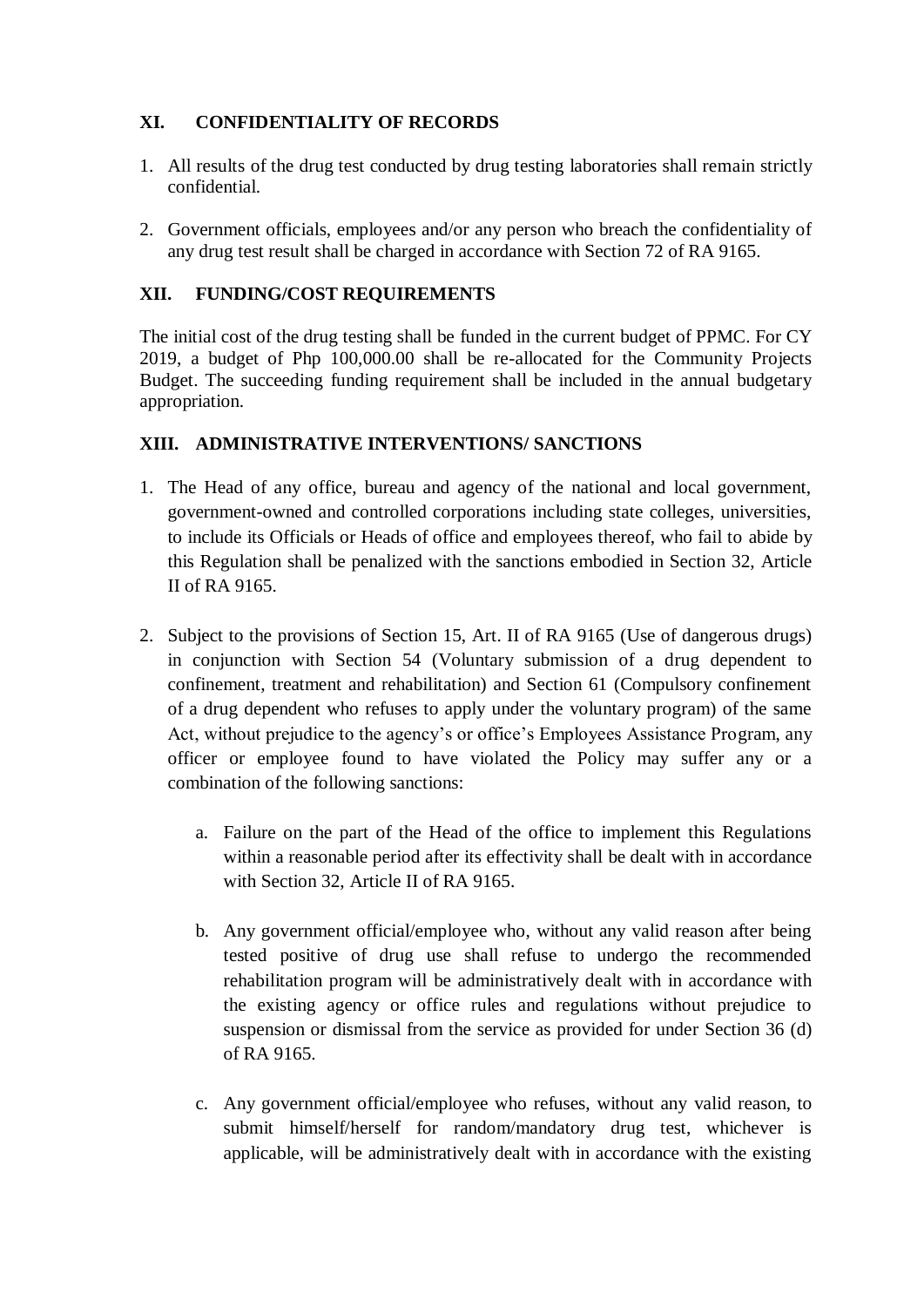# **XI. CONFIDENTIALITY OF RECORDS**

- 1. All results of the drug test conducted by drug testing laboratories shall remain strictly confidential.
- 2. Government officials, employees and/or any person who breach the confidentiality of any drug test result shall be charged in accordance with Section 72 of RA 9165.

## **XII. FUNDING/COST REQUIREMENTS**

The initial cost of the drug testing shall be funded in the current budget of PPMC. For CY 2019, a budget of Php 100,000.00 shall be re-allocated for the Community Projects Budget. The succeeding funding requirement shall be included in the annual budgetary appropriation.

## **XIII. ADMINISTRATIVE INTERVENTIONS/ SANCTIONS**

- 1. The Head of any office, bureau and agency of the national and local government, government-owned and controlled corporations including state colleges, universities, to include its Officials or Heads of office and employees thereof, who fail to abide by this Regulation shall be penalized with the sanctions embodied in Section 32, Article II of RA 9165.
- 2. Subject to the provisions of Section 15, Art. II of RA 9165 (Use of dangerous drugs) in conjunction with Section 54 (Voluntary submission of a drug dependent to confinement, treatment and rehabilitation) and Section 61 (Compulsory confinement of a drug dependent who refuses to apply under the voluntary program) of the same Act, without prejudice to the agency's or office's Employees Assistance Program, any officer or employee found to have violated the Policy may suffer any or a combination of the following sanctions:
	- a. Failure on the part of the Head of the office to implement this Regulations within a reasonable period after its effectivity shall be dealt with in accordance with Section 32, Article II of RA 9165.
	- b. Any government official/employee who, without any valid reason after being tested positive of drug use shall refuse to undergo the recommended rehabilitation program will be administratively dealt with in accordance with the existing agency or office rules and regulations without prejudice to suspension or dismissal from the service as provided for under Section 36 (d) of RA 9165.
	- c. Any government official/employee who refuses, without any valid reason, to submit himself/herself for random/mandatory drug test, whichever is applicable, will be administratively dealt with in accordance with the existing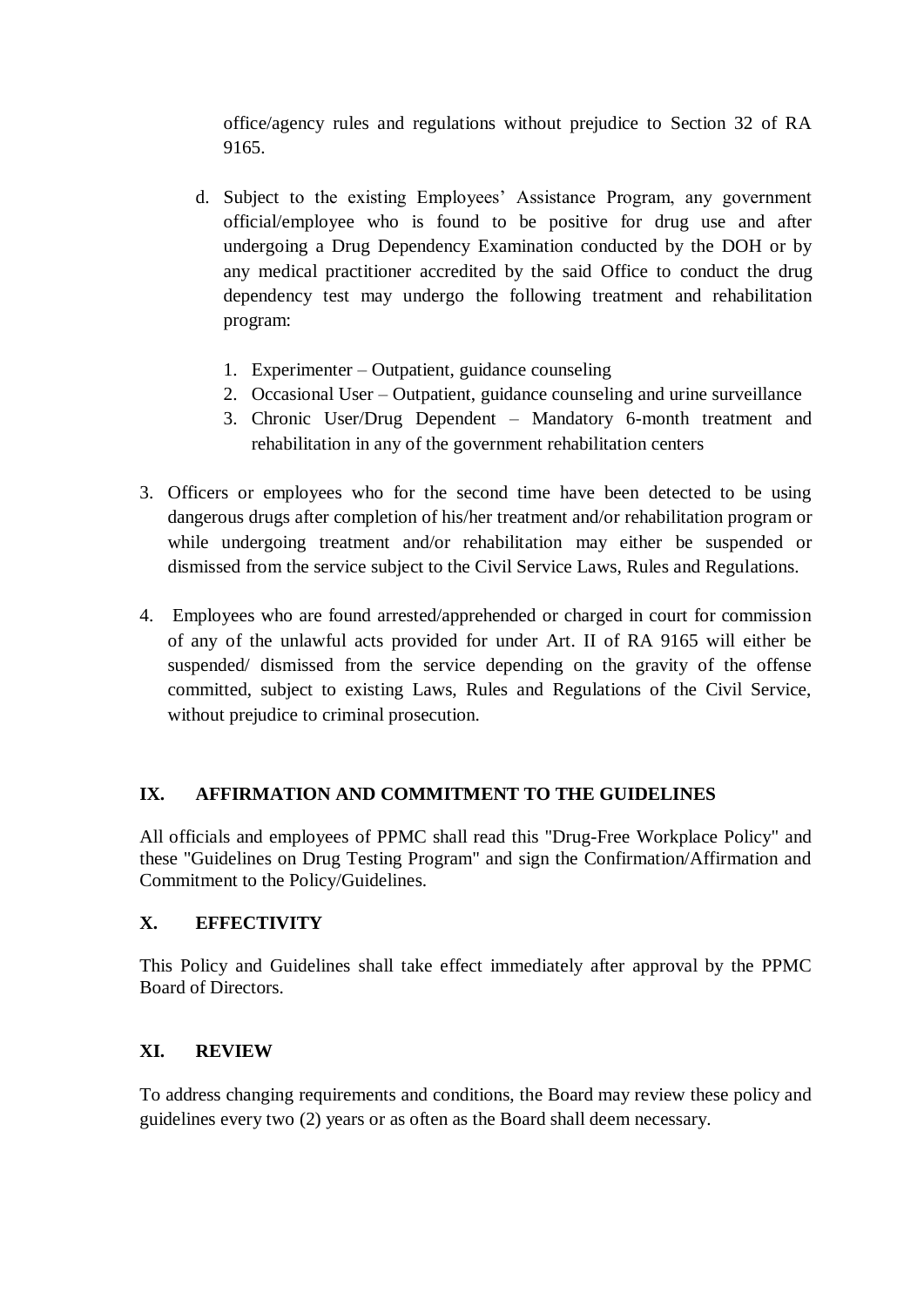office/agency rules and regulations without prejudice to Section 32 of RA 9165.

- d. Subject to the existing Employees' Assistance Program, any government official/employee who is found to be positive for drug use and after undergoing a Drug Dependency Examination conducted by the DOH or by any medical practitioner accredited by the said Office to conduct the drug dependency test may undergo the following treatment and rehabilitation program:
	- 1. Experimenter Outpatient, guidance counseling
	- 2. Occasional User Outpatient, guidance counseling and urine surveillance
	- 3. Chronic User/Drug Dependent Mandatory 6-month treatment and rehabilitation in any of the government rehabilitation centers
- 3. Officers or employees who for the second time have been detected to be using dangerous drugs after completion of his/her treatment and/or rehabilitation program or while undergoing treatment and/or rehabilitation may either be suspended or dismissed from the service subject to the Civil Service Laws, Rules and Regulations.
- 4. Employees who are found arrested/apprehended or charged in court for commission of any of the unlawful acts provided for under Art. II of RA 9165 will either be suspended/ dismissed from the service depending on the gravity of the offense committed, subject to existing Laws, Rules and Regulations of the Civil Service, without prejudice to criminal prosecution.

### **IX. AFFIRMATION AND COMMITMENT TO THE GUIDELINES**

All officials and employees of PPMC shall read this "Drug-Free Workplace Policy" and these "Guidelines on Drug Testing Program" and sign the Confirmation/Affirmation and Commitment to the Policy/Guidelines.

### **X. EFFECTIVITY**

This Policy and Guidelines shall take effect immediately after approval by the PPMC Board of Directors.

### **XI. REVIEW**

To address changing requirements and conditions, the Board may review these policy and guidelines every two (2) years or as often as the Board shall deem necessary.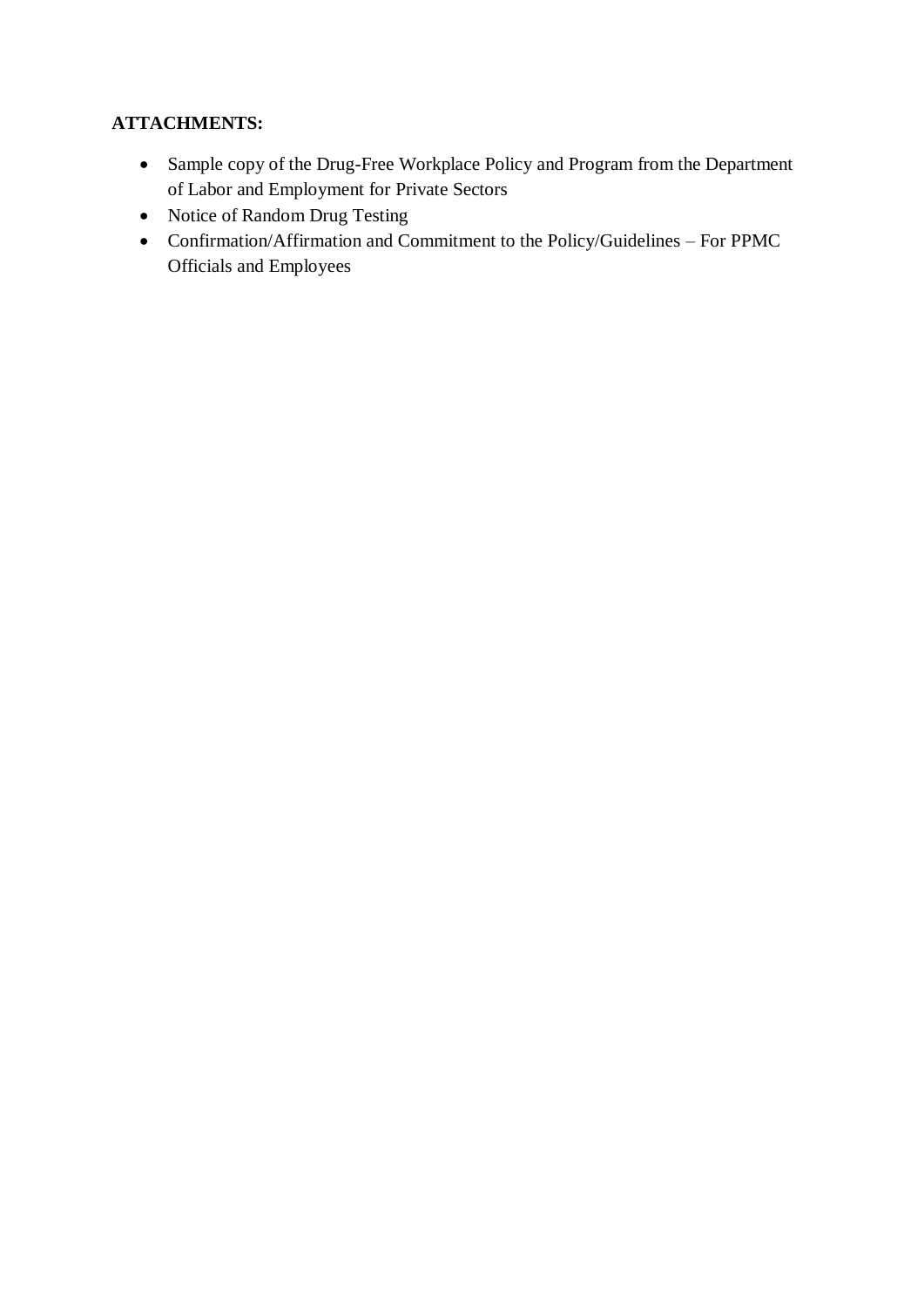# **ATTACHMENTS:**

- Sample copy of the Drug-Free Workplace Policy and Program from the Department of Labor and Employment for Private Sectors
- Notice of Random Drug Testing
- Confirmation/Affirmation and Commitment to the Policy/Guidelines For PPMC Officials and Employees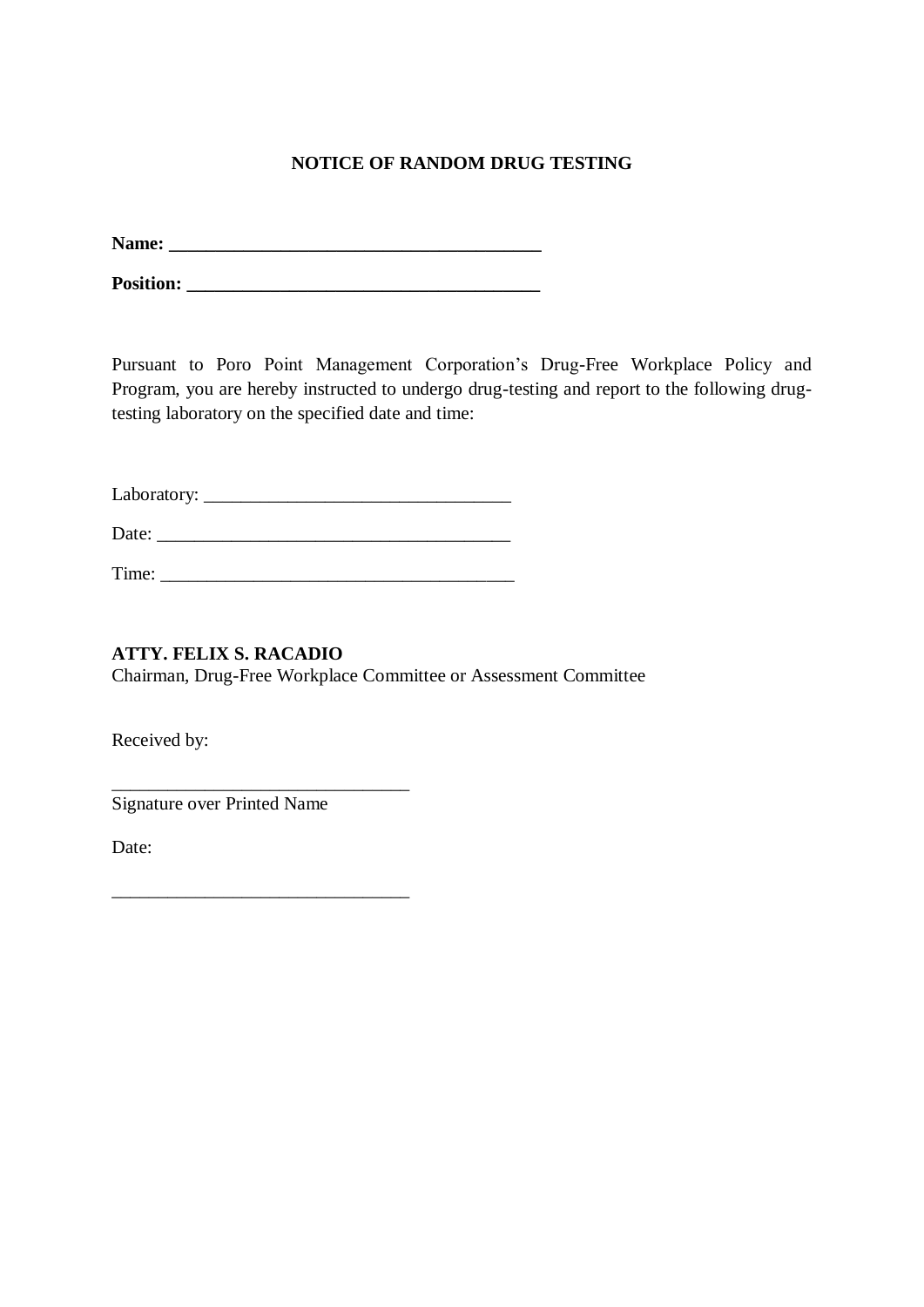## **NOTICE OF RANDOM DRUG TESTING**

**Name: \_\_\_\_\_\_\_\_\_\_\_\_\_\_\_\_\_\_\_\_\_\_\_\_\_\_\_\_\_\_\_\_\_\_\_\_\_\_\_\_**

**Position: \_\_\_\_\_\_\_\_\_\_\_\_\_\_\_\_\_\_\_\_\_\_\_\_\_\_\_\_\_\_\_\_\_\_\_\_\_\_**

Pursuant to Poro Point Management Corporation's Drug-Free Workplace Policy and Program, you are hereby instructed to undergo drug-testing and report to the following drugtesting laboratory on the specified date and time:

Laboratory: \_\_\_\_\_\_\_\_\_\_\_\_\_\_\_\_\_\_\_\_\_\_\_\_\_\_\_\_\_\_\_\_\_

Date:

Time: \_\_\_\_\_\_\_\_\_\_\_\_\_\_\_\_\_\_\_\_\_\_\_\_\_\_\_\_\_\_\_\_\_\_\_\_\_\_

**ATTY. FELIX S. RACADIO** Chairman, Drug-Free Workplace Committee or Assessment Committee

Received by:

Signature over Printed Name

\_\_\_\_\_\_\_\_\_\_\_\_\_\_\_\_\_\_\_\_\_\_\_\_\_\_\_\_\_\_\_\_

\_\_\_\_\_\_\_\_\_\_\_\_\_\_\_\_\_\_\_\_\_\_\_\_\_\_\_\_\_\_\_\_

Date: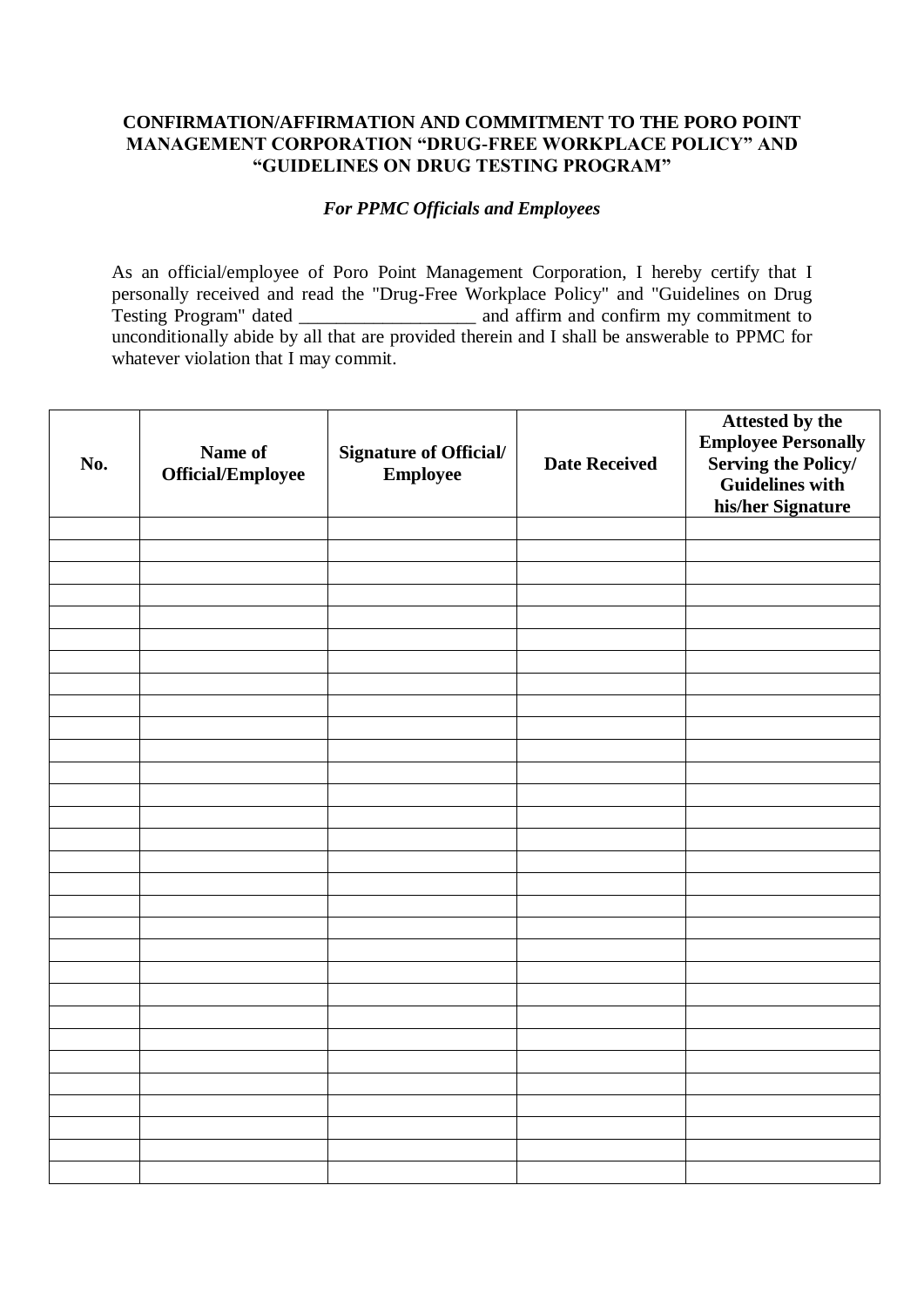#### **CONFIRMATION/AFFIRMATION AND COMMITMENT TO THE PORO POINT MANAGEMENT CORPORATION "DRUG-FREE WORKPLACE POLICY" AND "GUIDELINES ON DRUG TESTING PROGRAM"**

#### *For PPMC Officials and Employees*

As an official/employee of Poro Point Management Corporation, I hereby certify that I personally received and read the "Drug-Free Workplace Policy" and "Guidelines on Drug Testing Program" dated \_\_\_\_\_\_\_\_\_\_\_\_\_\_\_\_\_\_\_ and affirm and confirm my commitment to unconditionally abide by all that are provided therein and I shall be answerable to PPMC for whatever violation that I may commit.

| No. | Name of<br>Official/Employee | Signature of Official/<br><b>Employee</b> | <b>Date Received</b> | <b>Attested by the<br/>Employee Personally</b><br>Serving the Policy/<br>Guidelines with<br>his/her Signature |
|-----|------------------------------|-------------------------------------------|----------------------|---------------------------------------------------------------------------------------------------------------|
|     |                              |                                           |                      |                                                                                                               |
|     |                              |                                           |                      |                                                                                                               |
|     |                              |                                           |                      |                                                                                                               |
|     |                              |                                           |                      |                                                                                                               |
|     |                              |                                           |                      |                                                                                                               |
|     |                              |                                           |                      |                                                                                                               |
|     |                              |                                           |                      |                                                                                                               |
|     |                              |                                           |                      |                                                                                                               |
|     |                              |                                           |                      |                                                                                                               |
|     |                              |                                           |                      |                                                                                                               |
|     |                              |                                           |                      |                                                                                                               |
|     |                              |                                           |                      |                                                                                                               |
|     |                              |                                           |                      |                                                                                                               |
|     |                              |                                           |                      |                                                                                                               |
|     |                              |                                           |                      |                                                                                                               |
|     |                              |                                           |                      |                                                                                                               |
|     |                              |                                           |                      |                                                                                                               |
|     |                              |                                           |                      |                                                                                                               |
|     |                              |                                           |                      |                                                                                                               |
|     |                              |                                           |                      |                                                                                                               |
|     |                              |                                           |                      |                                                                                                               |
|     |                              |                                           |                      |                                                                                                               |
|     |                              |                                           |                      |                                                                                                               |
|     |                              |                                           |                      |                                                                                                               |
|     |                              |                                           |                      |                                                                                                               |
|     |                              |                                           |                      |                                                                                                               |
|     |                              |                                           |                      |                                                                                                               |
|     |                              |                                           |                      |                                                                                                               |
|     |                              |                                           |                      |                                                                                                               |